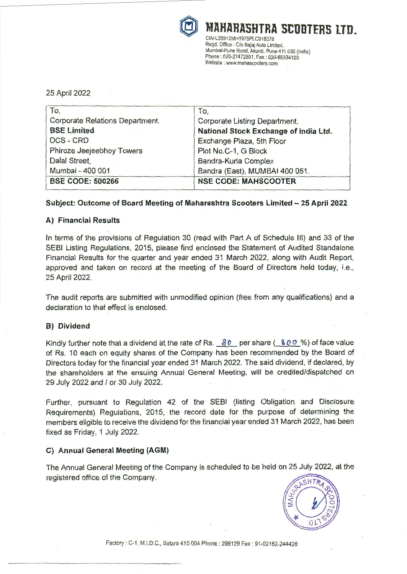

® **MAHARASHTRA SCDDTERS** nn. CIN-L35912MH1975PLC018376 Regd. Office: *Clo* Bajaj Auto Limited, Mumbai-Pune Road, Akurdi, Pune 411 035 (India) Phone: 020-27472851, Fax: 020-66334103 Website : www.mahascooters.com

# 25 April 2022

| To,                                    | To,                                   |
|----------------------------------------|---------------------------------------|
| <b>Corporate Relations Department.</b> | Corporate Listing Department.         |
| <b>BSE Limited</b>                     | National Stock Exchange of India Ltd. |
| <b>DCS-CRD</b>                         | Exchange Plaza, 5th Floor             |
| Phiroze Jeejeebhoy Towers              | Plot No.C-1, G Block                  |
| Dalal Street,                          | Bandra-Kurla Complex                  |
| Mumbai - 400 001                       | Bandra (East), MUMBAI 400 051.        |
| <b>BSE CODE: 500266</b>                | <b>NSE CODE: MAHSCOOTER</b>           |

# **Subject: Outcome of Board Meeting of Maharashtra Scooters Limited - 25 April 2022**

# **A) Financial Results**

In terms of the provisions of Regulation 30 (read with Part A of Schedule Ill) and 33 of the SEBI Listing Regulations, 2015, please find enclosed the Statement of Audited Standalone Financial Results for the quarter and year ended 31 March 2022, along with Audit Report, approved and taken on record at the meeting of the Board of Directors held today, i.e., 25 April 2022.

The audit reports are submitted with unmodified opinion (free from any qualifications) and a declaration to that effect is enclosed.

## **8) Dividend**

Kindly further note that a dividend at the rate of Rs. 80 per share (800 %) of face value of Rs. 10 each on equity shares of the Company has been recommended by the Board of Directors today for the financial year ended 31 March 2022. The said dividend, if declared, by the shareholders at the ensuing Annual General Meeting, will be credited/dispatched on 29 July 2022 and / or 30 July 2022.

Further, pursuant to Regulation 42 of the SEBI (listing Obligation and Disclosure Requirements) Regulations, 2015, the record date for the purpose of determining the members eligible to receive the dividend for the financial year ended 31 March 2022, has been fixed as Friday, 1 July 2022.

## **C) Annual General Meeting (AGM)**

The Annual General Meeting of the Company is scheduled to be held on 25 July 2022, at the registered office of the Company.